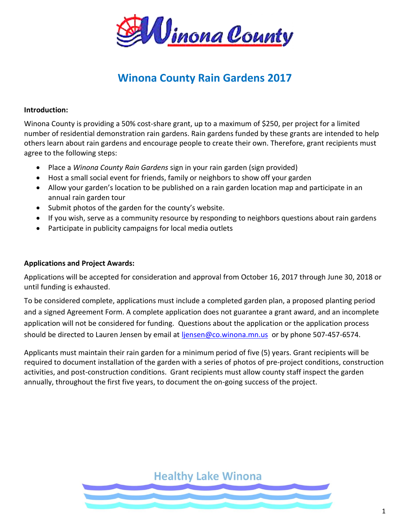

# **Winona County Rain Gardens 2017**

### **Introduction:**

Winona County is providing a 50% cost-share grant, up to a maximum of \$250, per project for a limited number of residential demonstration rain gardens. Rain gardens funded by these grants are intended to help others learn about rain gardens and encourage people to create their own. Therefore, grant recipients must agree to the following steps:

- Place a *Winona County Rain Gardens* sign in your rain garden (sign provided)
- Host a small social event for friends, family or neighbors to show off your garden
- Allow your garden's location to be published on a rain garden location map and participate in an annual rain garden tour
- Submit photos of the garden for the county's website.
- If you wish, serve as a community resource by responding to neighbors questions about rain gardens
- Participate in publicity campaigns for local media outlets

### **Applications and Project Awards:**

Applications will be accepted for consideration and approval from October 16, 2017 through June 30, 2018 or until funding is exhausted.

To be considered complete, applications must include a completed garden plan, a proposed planting period and a signed Agreement Form. A complete application does not guarantee a grant award, and an incomplete application will not be considered for funding. Questions about the application or the application process should be directed to Lauren Jensen by email at *liensen@co.winona.mn.us* or by phone 507-457-6574.

Applicants must maintain their rain garden for a minimum period of five (5) years. Grant recipients will be required to document installation of the garden with a series of photos of pre-project conditions, construction activities, and post-construction conditions. Grant recipients must allow county staff inspect the garden annually, throughout the first five years, to document the on-going success of the project.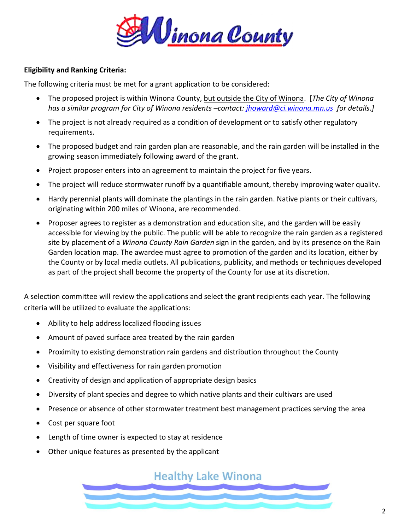

## **Eligibility and Ranking Criteria:**

The following criteria must be met for a grant application to be considered:

- The proposed project is within Winona County, but outside the City of Winona. [*The City of Winona has a similar program for City of Winona residents –contact: [jhoward@ci.winona.mn.us](mailto:jhoward@ci.winona.mn.us) for details.]*
- The project is not already required as a condition of development or to satisfy other regulatory requirements.
- The proposed budget and rain garden plan are reasonable, and the rain garden will be installed in the growing season immediately following award of the grant.
- Project proposer enters into an agreement to maintain the project for five years.
- The project will reduce stormwater runoff by a quantifiable amount, thereby improving water quality.
- Hardy perennial plants will dominate the plantings in the rain garden. Native plants or their cultivars, originating within 200 miles of Winona, are recommended.
- Proposer agrees to register as a demonstration and education site, and the garden will be easily accessible for viewing by the public. The public will be able to recognize the rain garden as a registered site by placement of a *Winona County Rain Garden* sign in the garden, and by its presence on the Rain Garden location map. The awardee must agree to promotion of the garden and its location, either by the County or by local media outlets. All publications, publicity, and methods or techniques developed as part of the project shall become the property of the County for use at its discretion.

A selection committee will review the applications and select the grant recipients each year. The following criteria will be utilized to evaluate the applications:

- Ability to help address localized flooding issues
- Amount of paved surface area treated by the rain garden
- Proximity to existing demonstration rain gardens and distribution throughout the County
- Visibility and effectiveness for rain garden promotion
- Creativity of design and application of appropriate design basics
- Diversity of plant species and degree to which native plants and their cultivars are used
- Presence or absence of other stormwater treatment best management practices serving the area
- Cost per square foot
- Length of time owner is expected to stay at residence
- Other unique features as presented by the applicant

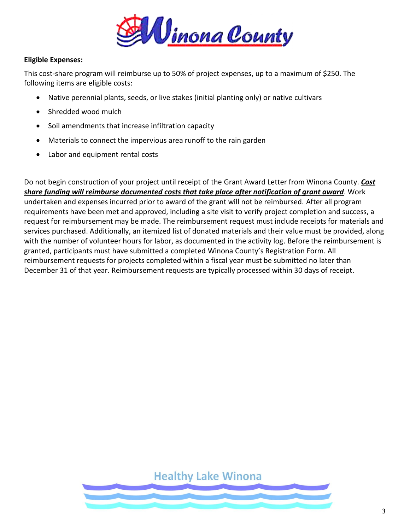

## **Eligible Expenses:**

This cost-share program will reimburse up to 50% of project expenses, up to a maximum of \$250. The following items are eligible costs:

- Native perennial plants, seeds, or live stakes (initial planting only) or native cultivars
- Shredded wood mulch
- Soil amendments that increase infiltration capacity
- Materials to connect the impervious area runoff to the rain garden
- Labor and equipment rental costs

Do not begin construction of your project until receipt of the Grant Award Letter from Winona County. *Cost share funding will reimburse documented costs that take place after notification of grant award*. Work undertaken and expenses incurred prior to award of the grant will not be reimbursed. After all program requirements have been met and approved, including a site visit to verify project completion and success, a request for reimbursement may be made. The reimbursement request must include receipts for materials and services purchased. Additionally, an itemized list of donated materials and their value must be provided, along with the number of volunteer hours for labor, as documented in the activity log. Before the reimbursement is granted, participants must have submitted a completed Winona County's Registration Form. All reimbursement requests for projects completed within a fiscal year must be submitted no later than December 31 of that year. Reimbursement requests are typically processed within 30 days of receipt.

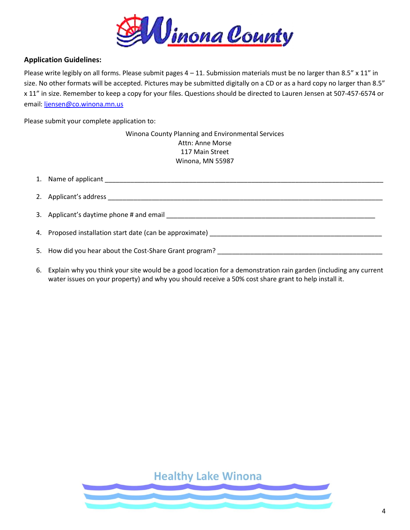

## **Application Guidelines:**

Please write legibly on all forms. Please submit pages  $4 - 11$ . Submission materials must be no larger than 8.5" x 11" in size. No other formats will be accepted. Pictures may be submitted digitally on a CD or as a hard copy no larger than 8.5" x 11" in size. Remember to keep a copy for your files. Questions should be directed to Lauren Jensen at 507-457-6574 or email: [ljensen@co.winona.mn.us](mailto:ljensen@co.winona.mn.us)

Please submit your complete application to:

Winona County Planning and Environmental Services Attn: Anne Morse 117 Main Street Winona, MN 55987

| 1. Name of applicant and the state of a state of a state of a state of a state of a state of a state of a state of a state of a state of a state of a state of a state of a state of a state of a state of a state of a state |
|-------------------------------------------------------------------------------------------------------------------------------------------------------------------------------------------------------------------------------|
|                                                                                                                                                                                                                               |
| 3. Applicant's daytime phone # and email                                                                                                                                                                                      |
|                                                                                                                                                                                                                               |
| 5. How did you hear about the Cost-Share Grant program?                                                                                                                                                                       |
|                                                                                                                                                                                                                               |

6. Explain why you think your site would be a good location for a demonstration rain garden (including any current water issues on your property) and why you should receive a 50% cost share grant to help install it.

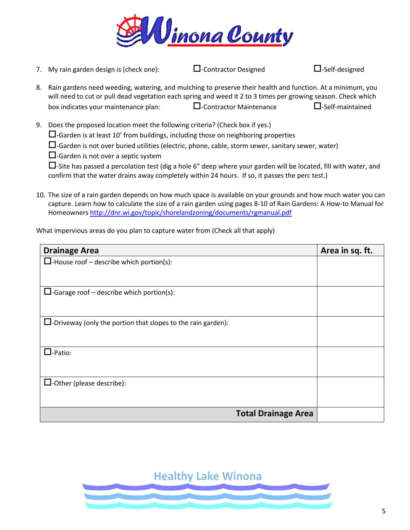

7. My rain garden design is (check one):  $\Box$ -Contractor Designed  $\Box$ -Self-designed 8. Rain gardens need weeding, watering, and mulching to preserve their health and function. At a minimum, you will need to cut or pull dead vegetation each spring and weed it 2 to 3 times per growing season. Check which box indicates your maintenance plan:  $\square$ -Contractor Maintenance  $\square$ -Self-maintained

9. Does the proposed location meet the following criteria? (Check box if yes.)

 $\square$ -Garden is at least 10' from buildings, including those on neighboring properties

 $\square$ -Garden is not over buried utilities (electric, phone, cable, storm sewer, sanitary sewer, water)

 $\Box$ -Garden is not over a septic system

 $\square$ -Site has passed a percolation test (dig a hole 6" deep where your garden will be located, fill with water, and confirm that the water drains away completely within 24 hours. If so, it passes the perc test.)

10. The size of a rain garden depends on how much space is available on your grounds and how much water you can capture. Learn how to calculate the size of a rain garden using pages 8-10 of Rain Gardens: A How-to Manual for Homeowner[s http://dnr.wi.gov/topic/shorelandzoning/documents/rgmanual.pdf](http://dnr.wi.gov/topic/shorelandzoning/documents/rgmanual.pdf)

What impervious areas do you plan to capture water from (Check all that apply)

| <b>Drainage Area</b>                                                   | Area in sq. ft. |
|------------------------------------------------------------------------|-----------------|
| $\Box$ -House roof – describe which portion(s):                        |                 |
|                                                                        |                 |
| $\Box$ -Garage roof – describe which portion(s):                       |                 |
|                                                                        |                 |
| $\square$ -Driveway (only the portion that slopes to the rain garden): |                 |
|                                                                        |                 |
| $\Box$ -Patio:                                                         |                 |
|                                                                        |                 |
| $\Box$ -Other (please describe):                                       |                 |
|                                                                        |                 |
| <b>Total Drainage Area</b>                                             |                 |

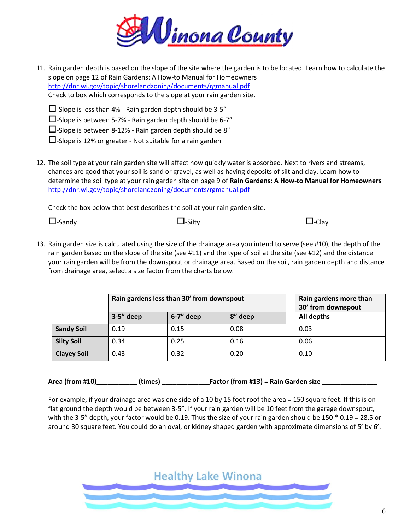

11. Rain garden depth is based on the slope of the site where the garden is to be located. Learn how to calculate the slope on page 12 of Rain Gardens: A How-to Manual for Homeowners <http://dnr.wi.gov/topic/shorelandzoning/documents/rgmanual.pdf> Check to box which corresponds to the slope at your rain garden site.

 $\Box$ -Slope is less than 4% - Rain garden depth should be 3-5"

 $\square$ -Slope is between 5-7% - Rain garden depth should be 6-7"

 $\square$ -Slope is between 8-12% - Rain garden depth should be 8"

 $\square$ -Slope is 12% or greater - Not suitable for a rain garden

12. The soil type at your rain garden site will affect how quickly water is absorbed. Next to rivers and streams, chances are good that your soil is sand or gravel, as well as having deposits of silt and clay. Learn how to determine the soil type at your rain garden site on page 9 of **Rain Gardens: A How-to Manual for Homeowners** <http://dnr.wi.gov/topic/shorelandzoning/documents/rgmanual.pdf>

Check the box below that best describes the soil at your rain garden site.

| $\Box$ -Sandy | $\Box$ -Silty | $\Box$ -Clay |
|---------------|---------------|--------------|
|               |               |              |

13. Rain garden size is calculated using the size of the drainage area you intend to serve (see #10), the depth of the rain garden based on the slope of the site (see #11) and the type of soil at the site (see #12) and the distance your rain garden will be from the downspout or drainage area. Based on the soil, rain garden depth and distance from drainage area, select a size factor from the charts below.

|                    | Rain gardens less than 30' from downspout |             |            | Rain gardens more than<br>30' from downspout |
|--------------------|-------------------------------------------|-------------|------------|----------------------------------------------|
|                    | $3-5"$ deep                               | $6-7"$ deep | All depths |                                              |
| <b>Sandy Soil</b>  | 0.19                                      | 0.15        | 0.08       | 0.03                                         |
| <b>Silty Soil</b>  | 0.34                                      | 0.25        | 0.16       | 0.06                                         |
| <b>Clayey Soil</b> | 0.43                                      | 0.32        | 0.20       | 0.10                                         |

**Area (from #10)\_\_\_\_\_\_\_\_\_\_\_ (times) \_\_\_\_\_\_\_\_\_\_\_\_\_Factor (from #13) = Rain Garden size \_\_\_\_\_\_\_\_\_\_\_\_\_\_\_**

For example, if your drainage area was one side of a 10 by 15 foot roof the area = 150 square feet. If this is on flat ground the depth would be between 3-5". If your rain garden will be 10 feet from the garage downspout, with the 3-5" depth, your factor would be 0.19. Thus the size of your rain garden should be 150 \* 0.19 = 28.5 or around 30 square feet. You could do an oval, or kidney shaped garden with approximate dimensions of 5' by 6'.

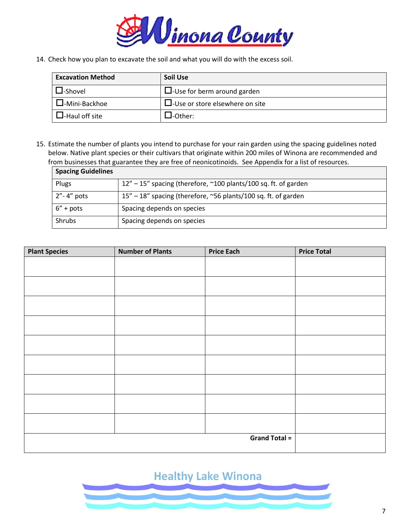

14. Check how you plan to excavate the soil and what you will do with the excess soil.

| <b>Excavation Method</b> | <b>Soil Use</b>                           |
|--------------------------|-------------------------------------------|
| <b>_I</b> -Shovel        | $\Box$ -Use for berm around garden        |
| $\Box$ -Mini-Backhoe     | $\square$ -Use or store elsewhere on site |
| l-Haul off site          | J-Other:                                  |

15. Estimate the number of plants you intend to purchase for your rain garden using the spacing guidelines noted below. Native plant species or their cultivars that originate within 200 miles of Winona are recommended and from businesses that guarantee they are free of neonicotinoids. See Appendix for a list of resources.

| <b>Spacing Guidelines</b> |                                                                           |
|---------------------------|---------------------------------------------------------------------------|
| Plugs                     | $12'' - 15''$ spacing (therefore, $\sim 100$ plants/100 sq. ft. of garden |
| $2"$ -4" pots             | $15'' - 18''$ spacing (therefore, ~56 plants/100 sq. ft. of garden        |
| $6'' + \text{pots}$       | Spacing depends on species                                                |
| Shrubs                    | Spacing depends on species                                                |

| <b>Plant Species</b> | <b>Number of Plants</b> | <b>Price Each</b>    | <b>Price Total</b> |
|----------------------|-------------------------|----------------------|--------------------|
|                      |                         |                      |                    |
|                      |                         |                      |                    |
|                      |                         |                      |                    |
|                      |                         |                      |                    |
|                      |                         |                      |                    |
|                      |                         |                      |                    |
|                      |                         |                      |                    |
|                      |                         |                      |                    |
|                      |                         |                      |                    |
|                      |                         |                      |                    |
|                      |                         |                      |                    |
|                      |                         |                      |                    |
|                      |                         |                      |                    |
|                      |                         |                      |                    |
|                      |                         |                      |                    |
|                      |                         |                      |                    |
|                      |                         |                      |                    |
|                      |                         | <b>Grand Total =</b> |                    |
|                      |                         |                      |                    |

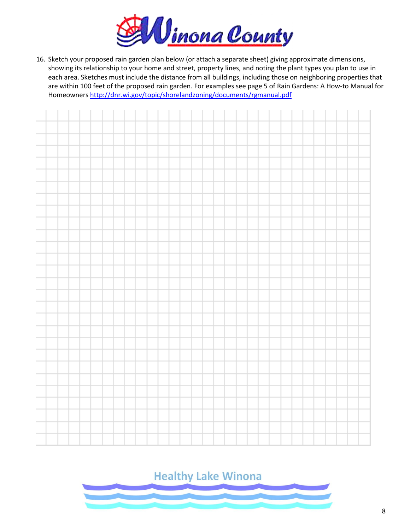

16. Sketch your proposed rain garden plan below (or attach a separate sheet) giving approximate dimensions, showing its relationship to your home and street, property lines, and noting the plant types you plan to use in each area. Sketches must include the distance from all buildings, including those on neighboring properties that are within 100 feet of the proposed rain garden. For examples see page 5 of Rain Gardens: A How-to Manual for Homeowner[s http://dnr.wi.gov/topic/shorelandzoning/documents/rgmanual.pdf](http://dnr.wi.gov/topic/shorelandzoning/documents/rgmanual.pdf)



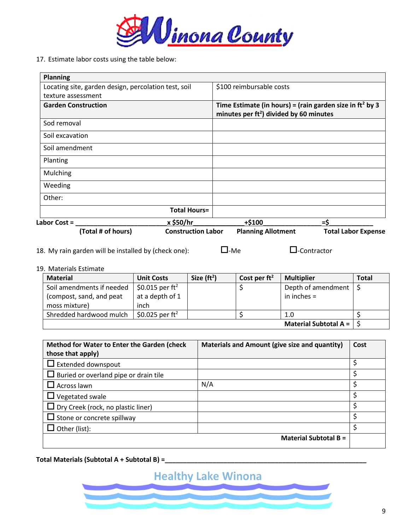

17. Estimate labor costs using the table below:

| <b>Planning</b>                                      |                           |                                            |                                                             |
|------------------------------------------------------|---------------------------|--------------------------------------------|-------------------------------------------------------------|
| Locating site, garden design, percolation test, soil |                           | \$100 reimbursable costs                   |                                                             |
| texture assessment                                   |                           |                                            |                                                             |
| <b>Garden Construction</b>                           |                           | minutes per $ft^2$ ) divided by 60 minutes | Time Estimate (in hours) = (rain garden size in $ft^2$ by 3 |
| Sod removal                                          |                           |                                            |                                                             |
| Soil excavation                                      |                           |                                            |                                                             |
| Soil amendment                                       |                           |                                            |                                                             |
| Planting                                             |                           |                                            |                                                             |
| Mulching                                             |                           |                                            |                                                             |
| Weeding                                              |                           |                                            |                                                             |
| Other:                                               |                           |                                            |                                                             |
|                                                      | <b>Total Hours=</b>       |                                            |                                                             |
| Labor Cost =                                         | x \$50/hr                 | $+ $100$                                   | $=$ \$                                                      |
| (Total # of hours)                                   | <b>Construction Labor</b> | <b>Planning Allotment</b>                  | <b>Total Labor Expense</b>                                  |

18. My rain garden will be installed by (check one):  $\square$ -Me  $\square$ -Contractor

### 19. Materials Estimate

| <b>Material</b>           | <b>Unit Costs</b>           | Size $(ft^2)$ | Cost per $ft^2$ | <b>Multiplier</b>             | <b>Total</b> |
|---------------------------|-----------------------------|---------------|-----------------|-------------------------------|--------------|
| Soil amendments if needed | \$0.015 per ft <sup>2</sup> |               |                 | Depth of amendment $\vert$ \$ |              |
| (compost, sand, and peat  | at a depth of 1             |               |                 | in inches $=$                 |              |
| moss mixture)             | inch                        |               |                 |                               |              |
| Shredded hardwood mulch   | \$0.025 per $ft^2$          |               |                 | 1.0                           |              |
|                           |                             |               |                 | <b>Material Subtotal A =</b>  |              |

| Method for Water to Enter the Garden (check  | Materials and Amount (give size and quantity) | Cost |
|----------------------------------------------|-----------------------------------------------|------|
| those that apply)                            |                                               |      |
| $\Box$ Extended downspout                    |                                               |      |
| $\Box$ Buried or overland pipe or drain tile |                                               | \$   |
| $\Box$ Across lawn                           | N/A                                           | Ś    |
| $\Box$ Vegetated swale                       |                                               | Ś    |
| $\Box$ Dry Creek (rock, no plastic liner)    |                                               | \$   |
| $\Box$ Stone or concrete spillway            |                                               | ς    |
| Other (list):                                |                                               | Ś    |
|                                              | <b>Material Subtotal B =</b>                  |      |

**Total Materials (Subtotal A + Subtotal B) =\_\_\_\_\_\_\_\_\_\_\_\_\_\_\_\_\_\_\_\_\_\_\_\_\_\_\_\_\_\_\_\_\_\_\_\_\_\_\_\_\_\_\_\_\_\_\_\_\_\_\_\_\_\_\_**

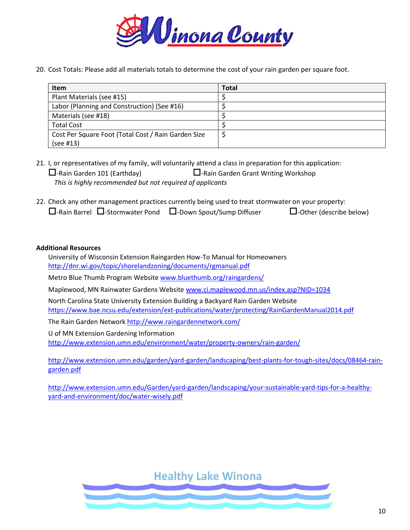

20. Cost Totals: Please add all materials totals to determine the cost of your rain garden per square foot.

| Item                                                | <b>Total</b> |
|-----------------------------------------------------|--------------|
| Plant Materials (see #15)                           |              |
| Labor (Planning and Construction) (See #16)         |              |
| Materials (see #18)                                 |              |
| <b>Total Cost</b>                                   |              |
| Cost Per Square Foot (Total Cost / Rain Garden Size |              |
| (see #13)                                           |              |

- 21. I, or representatives of my family, will voluntarily attend a class in preparation for this application:  $\Box$ -Rain Garden 101 (Earthday)  $\Box$ -Rain Garden Grant Writing Workshop *This is highly recommended but not required of applicants*
- 22. Check any other management practices currently being used to treat stormwater on your property:  $\Box$ -Rain Barrel  $\Box$ -Stormwater Pond  $\Box$ -Down Spout/Sump Diffuser  $\Box$ -Other (describe below)

### **Additional Resources**

University of Wisconsin Extension Raingarden How-To Manual for Homeowners <http://dnr.wi.gov/topic/shorelandzoning/documents/rgmanual.pdf>

Metro Blue Thumb Program Website [www.bluethumb.org/raingardens/](http://www.bluethumb.org/raingardens/) 

Maplewood, MN Rainwater Gardens Websit[e www.ci.maplewood.mn.us/index.asp?NID=1034](http://www.ci.maplewood.mn.us/index.asp?NID=1034) 

North Carolina State University Extension Building a Backyard Rain Garden Website <https://www.bae.ncsu.edu/extension/ext-publications/water/protecting/RainGardenManual2014.pdf>

The Rain Garden Network<http://www.raingardennetwork.com/>

U of MN Extension Gardening Information <http://www.extension.umn.edu/environment/water/property-owners/rain-garden/>

[http://www.extension.umn.edu/garden/yard-garden/landscaping/best-plants-for-tough-sites/docs/08464-rain](http://www.extension.umn.edu/garden/yard-garden/landscaping/best-plants-for-tough-sites/docs/08464-rain-garden.pdf)[garden.pdf](http://www.extension.umn.edu/garden/yard-garden/landscaping/best-plants-for-tough-sites/docs/08464-rain-garden.pdf)

[http://www.extension.umn.edu/Garden/yard-garden/landscaping/your-sustainable-yard-tips-for-a-healthy](http://www.extension.umn.edu/Garden/yard-garden/landscaping/your-sustainable-yard-tips-for-a-healthy-yard-and-environment/doc/water-wisely.pdf)[yard-and-environment/doc/water-wisely.pdf](http://www.extension.umn.edu/Garden/yard-garden/landscaping/your-sustainable-yard-tips-for-a-healthy-yard-and-environment/doc/water-wisely.pdf)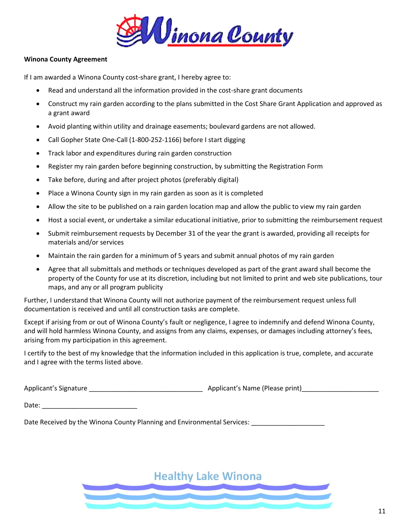

#### **Winona County Agreement**

If I am awarded a Winona County cost-share grant, I hereby agree to:

- Read and understand all the information provided in the cost-share grant documents
- Construct my rain garden according to the plans submitted in the Cost Share Grant Application and approved as a grant award
- Avoid planting within utility and drainage easements; boulevard gardens are not allowed.
- Call Gopher State One-Call (1-800-252-1166) before I start digging
- Track labor and expenditures during rain garden construction
- Register my rain garden before beginning construction, by submitting the Registration Form
- Take before, during and after project photos (preferably digital)
- Place a Winona County sign in my rain garden as soon as it is completed
- Allow the site to be published on a rain garden location map and allow the public to view my rain garden
- Host a social event, or undertake a similar educational initiative, prior to submitting the reimbursement request
- Submit reimbursement requests by December 31 of the year the grant is awarded, providing all receipts for materials and/or services
- Maintain the rain garden for a minimum of 5 years and submit annual photos of my rain garden
- Agree that all submittals and methods or techniques developed as part of the grant award shall become the property of the County for use at its discretion, including but not limited to print and web site publications, tour maps, and any or all program publicity

Further, I understand that Winona County will not authorize payment of the reimbursement request unless full documentation is received and until all construction tasks are complete.

Except if arising from or out of Winona County's fault or negligence, I agree to indemnify and defend Winona County, and will hold harmless Winona County, and assigns from any claims, expenses, or damages including attorney's fees, arising from my participation in this agreement.

I certify to the best of my knowledge that the information included in this application is true, complete, and accurate and I agree with the terms listed above.

Applicant's Signature \_\_\_\_\_\_\_\_\_\_\_\_\_\_\_\_\_\_\_\_\_\_\_\_\_\_\_\_\_\_\_ Applicant's Name (Please print)\_\_\_\_\_\_\_\_\_\_\_\_\_\_\_\_\_\_\_\_\_

Date: \_\_\_\_\_\_\_\_\_\_\_\_\_\_\_\_\_\_\_\_\_\_\_\_\_\_

Date Received by the Winona County Planning and Environmental Services: **we are also asset**